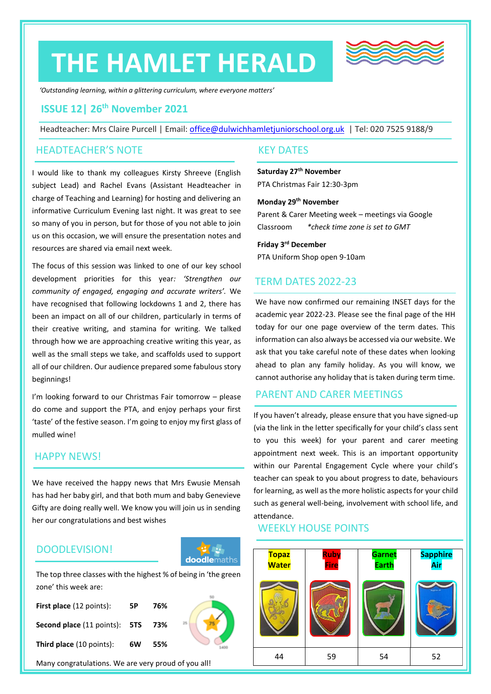# **THE HAMLET HERALD**



*'Outstanding learning, within a glittering curriculum, where everyone matters'*

# **ISSUE 12| 26th November 2021**

Headteacher: Mrs Claire Purcell | Email: [office@dulwichhamletjuniorschool.org.uk](mailto:office@dulwichhamletjuniorschool.org.uk) | Tel: 020 7525 9188/9

#### HEADTEACHER'S NOTE

I would like to thank my colleagues Kirsty Shreeve (English subject Lead) and Rachel Evans (Assistant Headteacher in charge of Teaching and Learning) for hosting and delivering an informative Curriculum Evening last night. It was great to see so many of you in person, but for those of you not able to join us on this occasion, we will ensure the presentation notes and resources are shared via email next week.

The focus of this session was linked to one of our key school development priorities for this year*: 'Strengthen our community of engaged, engaging and accurate writers'.* We have recognised that following lockdowns 1 and 2, there has been an impact on all of our children, particularly in terms of their creative writing, and stamina for writing. We talked through how we are approaching creative writing this year, as well as the small steps we take, and scaffolds used to support all of our children. Our audience prepared some fabulous story beginnings!

I'm looking forward to our Christmas Fair tomorrow – please do come and support the PTA, and enjoy perhaps your first 'taste' of the festive season. I'm going to enjoy my first glass of mulled wine!

#### HAPPY NEWS!

We have received the happy news that Mrs Ewusie Mensah has had her baby girl, and that both mum and baby Genevieve Gifty are doing really well. We know you will join us in sending her our congratulations and best wishes

# DOODLEVISION!



zone' this week are: The top three classes with the highest % of being in 'the green

| First place (12 points):                    | 5Р | 76%   |    |
|---------------------------------------------|----|-------|----|
| <b>Second place</b> (11 points): <b>5TS</b> |    | - 73% | 25 |
| <b>Third place</b> (10 points):             | 6W | 55%   |    |



#### KEY DATES

#### **Saturday 27th November** PTA Christmas Fair 12:30-3pm

#### **Monday 29 th November**

Parent & Carer Meeting week – meetings via Google Classroom *\*check time zone is set to GMT*

**Friday 3 rd December** PTA Uniform Shop open 9-10am

#### TERM DATES 2022-23

We have now confirmed our remaining INSET days for the academic year 2022-23. Please see the final page of the HH today for our one page overview of the term dates. This information can also always be accessed via our website. We ask that you take careful note of these dates when looking ahead to plan any family holiday. As you will know, we cannot authorise any holiday that is taken during term time.

# PARENT AND CARER MEETINGS

If you haven't already, please ensure that you have signed-up (via the link in the letter specifically for your child's class sent to you this week) for your parent and carer meeting appointment next week. This is an important opportunity within our Parental Engagement Cycle where your child's teacher can speak to you about progress to date, behaviours for learning, as well as the more holistic aspects for your child such as general well-being, involvement with school life, and attendance.

#### WEEKLY HOUSE POINTS

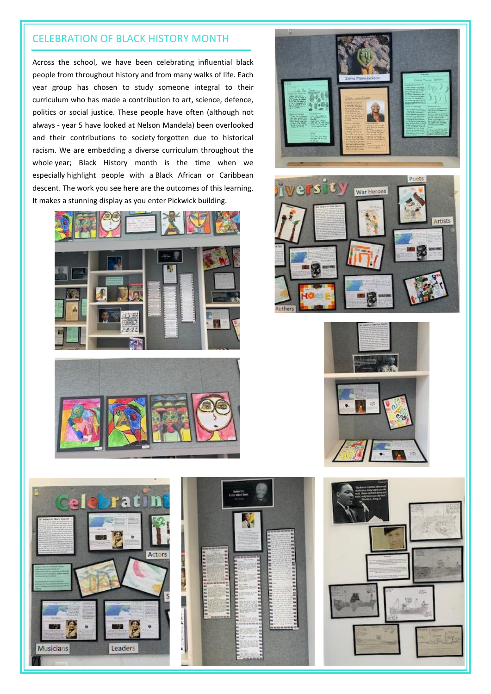# CELEBRATION OF BLACK HISTORY MONTH

Across the school, we have been celebrating influential black people from throughout history and from many walks of life. Each year group has chosen to study someone integral to their curriculum who has made a contribution to art, science, defence, politics or social justice. These people have often (although not always - year 5 have looked at Nelson Mandela) been overlooked and their contributions to society forgotten due to historical racism. We are embedding a diverse curriculum throughout the whole year; Black History month is the time when we especially highlight people with a Black African or Caribbean descent. The work you see here are the outcomes of this learning. It makes a stunning display as you enter Pickwick building.